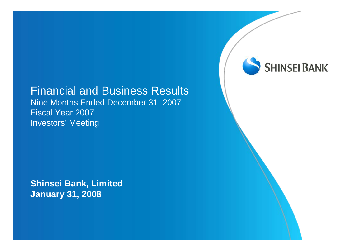### Financial and Business Results

Nine Months Ended December 31, 2007 Fiscal Year 2007 Investors' Meeting

**Shinsei Bank, Limited January 31, 2008**

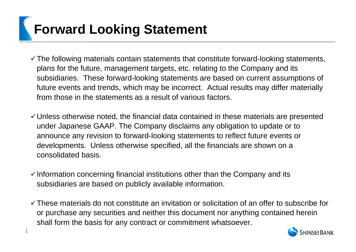# **Forward Looking Statement**

- $\checkmark$  The following materials contain statements that constitute forward-looking statements, plans for the future, management targets, etc. relating to the Company and its subsidiaries. These forward-looking statements are based on current assumptions of future events and trends, which may be incorrect. Actual results may differ materially from those in the statements as a result of various factors.
- $\checkmark$  Unless otherwise noted, the financial data contained in these materials are presented under Japanese GAAP. The Company disclaims any obligation to update or to announce any revision to forward-looking statements to reflect future events or developments. Unless otherwise specified, all the financials are shown on a consolidated basis.
- $\checkmark$  Information concerning financial institutions other than the Company and its subsidiaries are based on publicly available information.
- $\checkmark$  These materials do not constitute an invitation or solicitation of an offer to subscribe for or purchase any securities and neither this document nor anything contained herein shall form the basis for any contract or commitment whatsoever.

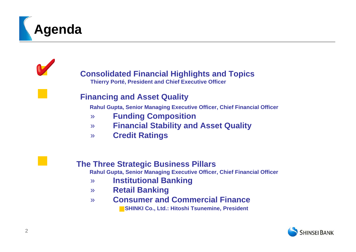

Y



**Thierry Porté, President and Chief Executive Officer**

#### **Financing and Asset Quality**

**Rahul Gupta, Senior Managing Executive Officer, Chief Financial Officer**

- » **Funding Composition**
- » **Financial Stability and Asset Quality**
- » **Credit Ratings**

#### **The Three Strategic Business Pillars**

**Rahul Gupta, Senior Managing Executive Officer, Chief Financial Officer**

- » **Institutional Banking**
- » **Retail Banking**
- » **Consumer and Commercial FinanceSHINKI Co., Ltd.: Hitoshi Tsunemine, President**

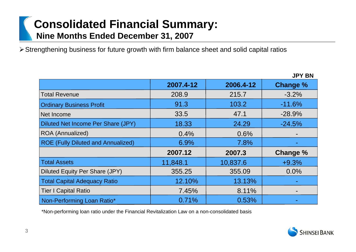# **Consolidated Financial Summary: Nine Months Ended December 31, 2007**

¾Strengthening business for future growth with firm balance sheet and solid capital ratios

|                                           |           |           | JPY BN          |
|-------------------------------------------|-----------|-----------|-----------------|
|                                           | 2007.4-12 | 2006.4-12 | <b>Change %</b> |
| <b>Total Revenue</b>                      | 208.9     | 215.7     | $-3.2%$         |
| <b>Ordinary Business Profit</b>           | 91.3      | 103.2     | $-11.6%$        |
| Net Income                                | 33.5      | 47.1      | $-28.9%$        |
| Diluted Net Income Per Share (JPY)        | 18.33     | 24.29     | $-24.5%$        |
| ROA (Annualized)                          | 0.4%      | 0.6%      |                 |
| <b>ROE (Fully Diluted and Annualized)</b> | 6.9%      | 7.8%      |                 |
|                                           | 2007.12   | 2007.3    | Change %        |
| <b>Total Assets</b>                       | 11,848.1  | 10,837.6  | $+9.3%$         |
| Diluted Equity Per Share (JPY)            | 355.25    | 355.09    | 0.0%            |
| <b>Total Capital Adequacy Ratio</b>       | 12.10%    | 13.13%    |                 |
| <b>Tier I Capital Ratio</b>               | 7.45%     | 8.11%     |                 |
| Non-Performing Loan Ratio*                | 0.71%     | 0.53%     |                 |

\*Non-performing loan ratio under the Financial Revitalization Law on a non-consolidated basis



**JPY BN**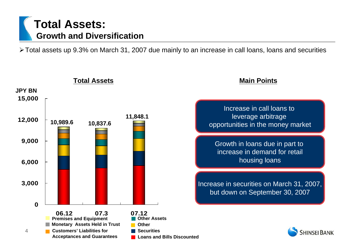# **Total Assets: Growth and Diversification**

¾Total assets up 9.3% on March 31, 2007 due mainly to an increase in call loans, loans and securities

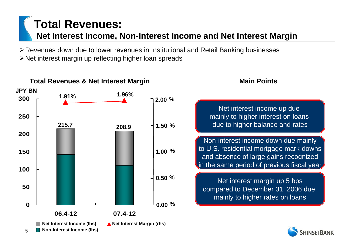# **Total Revenues: Net Interest Income, Non-Interest Income and Net Interest Margin**

¾Revenues down due to lower revenues in Institutional and Retail Banking businesses ¾Net interest margin up reflecting higher loan spreads

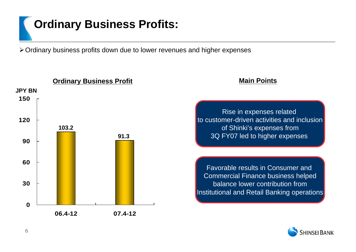# **Ordinary Business Profits:**

¾Ordinary business profits down due to lower revenues and higher expenses

**030609012015006.4-12 07.4-12 Ordinary Business Profit 103.291.3JPY BN**

**Main Points**

Rise in expenses related to customer-driven activities and inclusionof Shinki's expenses from 3Q FY07 led to higher expenses

Favorable results in Consumer and Commercial Finance business helped balance lower contribution fromInstitutional and Retail Banking operations

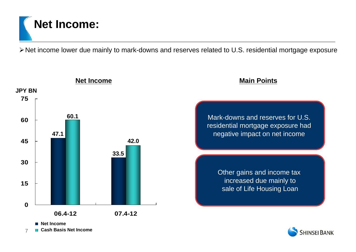# **Net Income:**

¾Net income lower due mainly to mark-downs and reserves related to U.S. residential mortgage exposure



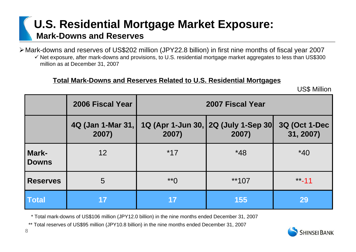# **U.S. Residential Mortgage Market Exposure: Mark-Downs and Reserves**

¾Mark-downs and reserves of US\$202 million (JPY22.8 billion) in first nine months of fiscal year 2007

 $\checkmark$  Net exposure, after mark-downs and provisions, to U.S. residential mortgage market aggregates to less than US\$300 million as at December 31, 2007

#### **Total Mark-Downs and Reserves Related to U.S. Residential Mortgages**

US\$ Million

|                       | 2006 Fiscal Year           | 2007 Fiscal Year |                                              |                                   |  |
|-----------------------|----------------------------|------------------|----------------------------------------------|-----------------------------------|--|
|                       | 4Q (Jan 1-Mar 31,<br>2007) | 2007)            | 1Q (Apr 1-Jun 30, 2Q (July 1-Sep 30<br>2007) | <b>3Q (Oct 1-Dec</b><br>31, 2007) |  |
| Mark-<br><b>Downs</b> | 12                         | $*17$            | $*48$                                        | $*40$                             |  |
| <b>Reserves</b>       | 5                          | $*$ <sup>*</sup> | $**107$                                      | $***-11$                          |  |
| <b>Total</b>          | 17                         | 17               | <b>155</b>                                   | 29                                |  |

\* Total mark-downs of US\$106 million (JPY12.0 billion) in the nine months ended December 31, 2007

\*\* Total reserves of US\$95 million (JPY10.8 billion) in the nine months ended December 31, 2007

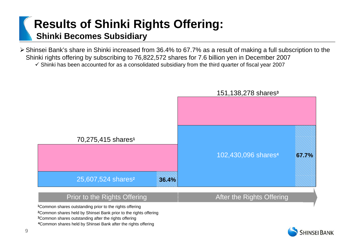# **Results of Shinki Rights Offering: Shinki Becomes Subsidiary**

¾Shinsei Bank's share in Shinki increased from 36.4% to 67.7% as a result of making a full subscription to the Shinki rights offering by subscribing to 76,822,572 shares for 7.6 billion yen in December 2007  $\checkmark$  Shinki has been accounted for as a consolidated subsidiary from the third quarter of fiscal year 2007





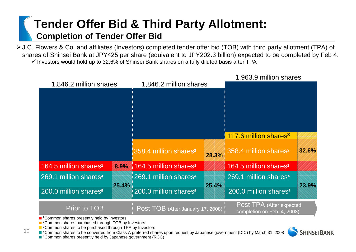# **Tender Offer Bid & Third Party Allotment: Completion of Tender Offer Bid**

¾J.C. Flowers & Co. and affiliates (Investors) completed tender offer bid (TOB) with third party allotment (TPA) of shares of Shinsei Bank at JPY425 per share (equivalent to JPY202.3 billion) expected to be completed by Feb 4.  $\checkmark$  Investors would hold up to 32.6% of Shinsei Bank shares on a fully diluted basis after TPA



■<sup>3</sup>Common shares to be purchased through TPA by Investors

10

■ <sup>4</sup>Common shares to be converted from Class A preferred shares upon request by Japanese government (DIC) by March 31, 2008

■<sup>5</sup>Common shares presently held by Japanese government (RCC)

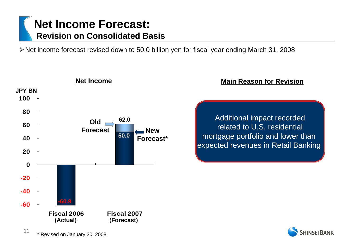# **Net Income Forecast: Revision on Consolidated Basis**

¾Net income forecast revised down to 50.0 billion yen for fiscal year ending March 31, 2008



#### **Main Reason for Revision**

Additional impact recorded related to U.S. residential mortgage portfolio and lower than expected revenues in Retail Banking

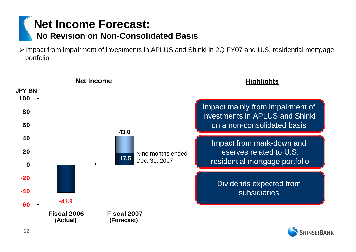# **Net Income Forecast:**

### **No Revision on Non-Consolidated Basis**

¾Impact from impairment of investments in APLUS and Shinki in 2Q FY07 and U.S. residential mortgage portfolio



**SHINSEI BANK** 

12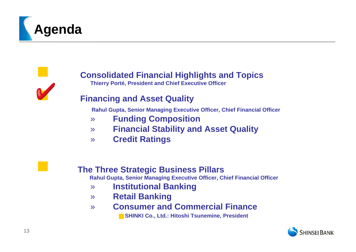



### **Consolidated Financial Highlights and Topics**

**Thierry Porté, President and Chief Executive Officer**

#### **Financing and Asset Quality**

**Rahul Gupta, Senior Managing Executive Officer, Chief Financial Officer**

- » **Funding Composition**
- » **Financial Stability and Asset Quality**
- » **Credit Ratings**

#### **The Three Strategic Business Pillars**

**Rahul Gupta, Senior Managing Executive Officer, Chief Financial Officer**

- » **Institutional Banking**
- » **Retail Banking**
- » **Consumer and Commercial Finance**

**SHINKI Co., Ltd.: Hitoshi Tsunemine, President**

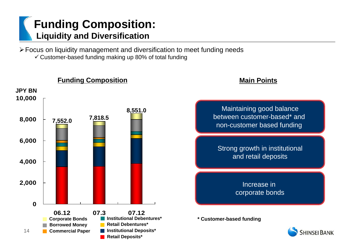# **Funding Composition: Liquidity and Diversification**

¾Focus on liquidity management and diversification to meet funding needs  $\checkmark$  Customer-based funding making up 80% of total funding



#### **Main Points**

Maintaining good balance between customer-based\* and non-customer based funding

Strong growth in institutional and retail deposits

> Increase in corporate bonds

**\* Customer-based funding**

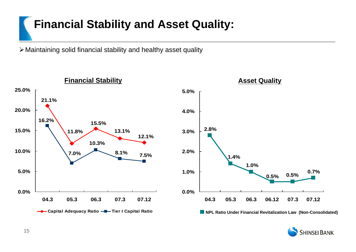# **Financial Stability and Asset Quality:**

¾Maintaining solid financial stability and healthy asset quality



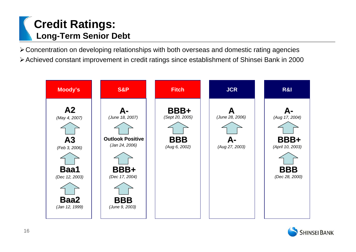# **Credit Ratings: Long-Term Senior Debt**

¾Concentration on developing relationships with both overseas and domestic rating agencies ¾Achieved constant improvement in credit ratings since establishment of Shinsei Bank in 2000



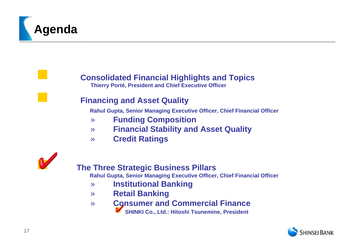

 **Consolidated Financial Highlights and Topics Thierry Porté, President and Chief Executive Officer**

#### **Financing and Asset Quality**

**Rahul Gupta, Senior Managing Executive Officer, Chief Financial Officer**

- » **Funding Composition**
- » **Financial Stability and Asset Quality**
- » **Credit Ratings**



#### **The Three Strategic Business Pillars**

**Rahul Gupta, Senior Managing Executive Officer, Chief Financial Officer**

- » **Institutional Banking**
- » **Retail Banking**
- » **Consumer and Commercial Finance**
	- **SHINKI Co., Ltd.: Hitoshi Tsunemine, President**

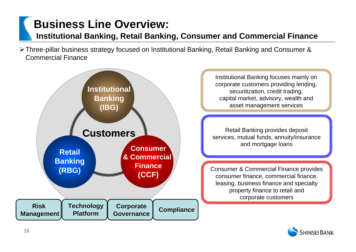# **Business Line Overview:**

#### **Institutional Banking, Retail Banking, Consumer and Commercial Finance**

¾Three-pillar business strategy focused on Institutional Banking, Retail Banking and Consumer & Commercial Finance



Institutional Banking focuses mainly on corporate customers providing lending, securitization, credit trading, capital market, advisory, wealth and asset management services

Retail Banking provides deposit services, mutual funds, annuity/insurance and mortgage loans

Consumer & Commercial Finance provides consumer finance, commercial finance, leasing, business finance and specialty property finance to retail and corporate customers

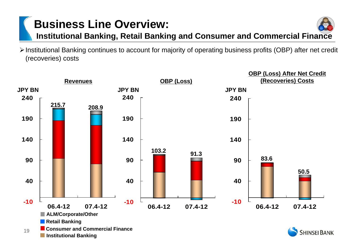# **Business Line Overview:**

**Institutional Banking, Retail Banking and Consumer and Commercial Finance** 

**InstitutionalBanking(IBG) & Commercial (CCF)**

¾Institutional Banking continues to account for majority of operating business profits (OBP) after net credit (recoveries) costs

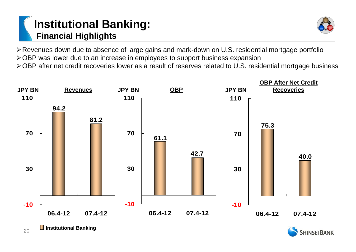# **Institutional Banking: Financial Highlights**



¾Revenues down due to absence of large gains and mark-down on U.S. residential mortgage portfolio ¾OBP was lower due to an increase in employees to support business expansion

¾OBP after net credit recoveries lower as a result of reserves related to U.S. residential mortgage business





20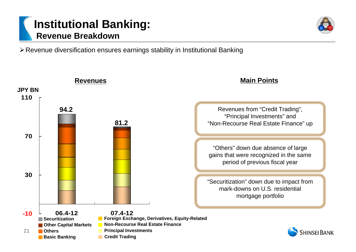# **Institutional Banking: Revenue Breakdown**

¾Revenue diversification ensures earnings stability in Institutional Banking

**Credit Trading**

**Basic Banking** 

**Main Points Revenues JPY BN110**Revenues from "Credit Trading", **94.2**"Principal Investments" and **81.2**"Non-Recourse Real Estate Finance" up **70**"Others" down due absence of large gains that were recognized in the same period of previous fiscal year **30**"Securitization" down due to impact from mark-downs on U.S. residential mortgage portfolio **06.4-12 07.4-12-10 Foreign Exchange, Derivatives, Equity-Related Securitization Other Capital Markets Non-Recourse Real Estate Finance Principal Investments** 21**OthersSHINSEI BANK** 

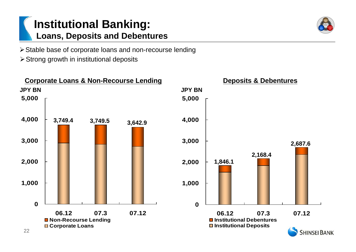# **Institutional Banking: Loans, Deposits and Debentures**

¾Stable base of corporate loans and non-recourse lending

 $\triangleright$  Strong growth in institutional deposits

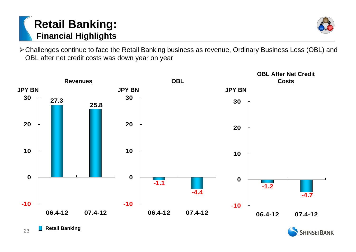# **Retail Banking: Financial Highlights**



¾Challenges continue to face the Retail Banking business as revenue, Ordinary Business Loss (OBL) and OBL after net credit costs was down year on year





23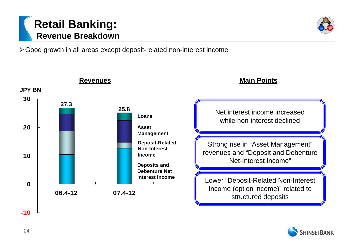

¾Good growth in all areas except deposit-related non-interest income



**Main Points**

Net interest income increased while non-interest declined

Strong rise in "Asset Management" revenues and "Deposit and Debenture Net-Interest Income"

Lower "Deposit-Related Non-Interest Income (option income)" related to structured deposits

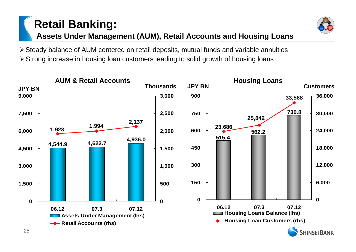# **Retail Banking: Assets Under Management (AUM), Retail Accounts and Housing Loans**



¾Steady balance of AUM centered on retail deposits, mutual funds and variable annuities ¾Strong increase in housing loan customers leading to solid growth of housing loans

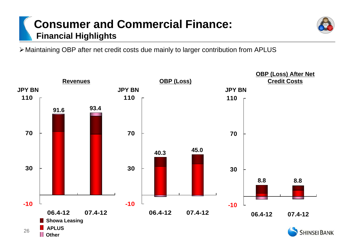# **Consumer and Commercial Finance: Financial Highlights**

¾Maintaining OBP after net credit costs due mainly to larger contribution from APLUS

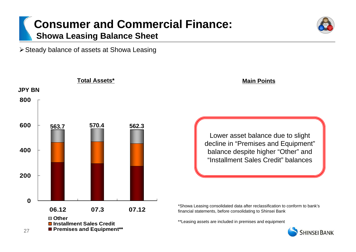### **Consumer and Commercial Finance: Showa Leasing Balance Sheet**

¾Steady balance of assets at Showa Leasing



**Main Points**

Lower asset balance due to slight decline in "Premises and Equipment" balance despite higher "Other" and "Installment Sales Credit" balances

\*Showa Leasing consolidated data after reclassification to conform to bank's financial statements, before consolidating to Shinsei Bank

\*\*Leasing assets are included in premises and equipment

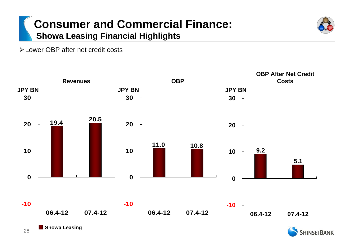# **Consumer and Commercial Finance: Showa Leasing Financial Highlights**



¾Lower OBP after net credit costs





28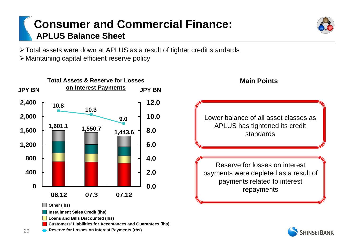# **Consumer and Commercial Finance: APLUS Balance Sheet**

¾Total assets were down at APLUS as a result of tighter credit standards ¾Maintaining capital efficient reserve policy





**SHINSEI BANK**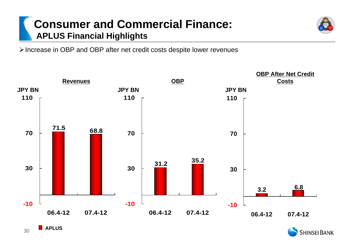# **Consumer and Commercial Finance: APLUS Financial Highlights**

¾Increase in OBP and OBP after net credit costs despite lower revenues





**InstitutionalBanking(IBG) & Commercial (CCF)**

**APLUS** 

30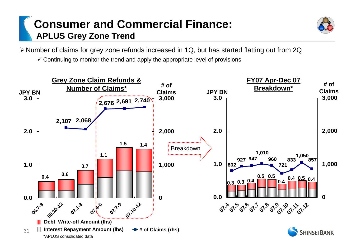# **Consumer and Commercial Finance: APLUS Grey Zone Trend**



¾Number of claims for grey zone refunds increased in 1Q, but has started flatting out from 2Q

 $\checkmark$  Continuing to monitor the trend and apply the appropriate level of provisions

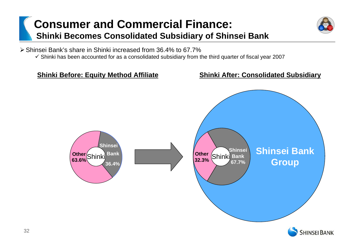# **Consumer and Commercial Finance: Shinki Becomes Consolidated Subsidiary of Shinsei Bank**



¾Shinsei Bank's share in Shinki increased from 36.4% to 67.7%

 $\checkmark$  Shinki has been accounted for as a consolidated subsidiary from the third quarter of fiscal year 2007

#### **Shinki Before: Equity Method Affiliate Shinki After: Consolidated Subsidiary**



32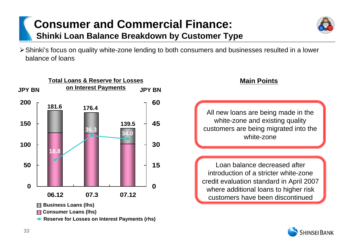# **Consumer and Commercial Finance: Shinki Loan Balance Breakdown by Customer Type**



¾Shinki's focus on quality white-zone lending to both consumers and businesses resulted in a lower balance of loans



**Main Points**

All new loans are being made in the white-zone and existing quality customers are being migrated into the white-zone

Loan balance decreased after introduction of a stricter white-zone credit evaluation standard in April 2007 where additional loans to higher risk customers have been discontinued

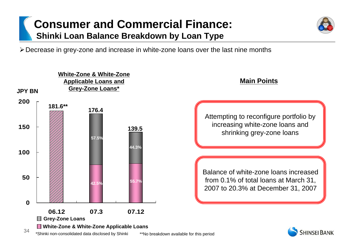# **Consumer and Commercial Finance: Shinki Loan Balance Breakdown by Loan Type**

¾Decrease in grey-zone and increase in white-zone loans over the last nine months

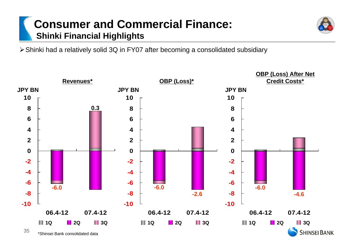# **Consumer and Commercial Finance: Shinki Financial Highlights**

¾Shinki had a relatively solid 3Q in FY07 after becoming a consolidated subsidiary

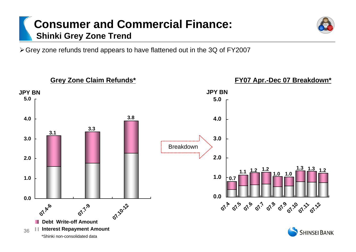# **Consumer and Commercial Finance: Shinki Grey Zone Trend**

¾Grey zone refunds trend appears to have flattened out in the 3Q of FY2007

**Grey Zone Claim Refunds\* FY07 Apr.-Dec 07 Breakdown\* JPY BN JPY BN 5.05.0 3.84.04.03.33.13.03.0**Breakdown**2.02.01.3 1.31.1 1.2 1.2 1.21.0 1.0 1.01.00.70.0 0.007.4 07.5 07.6 07.9 07.60 07.61.72 07.4-6 07.7-9 07.10-12 Debt Write-off AmountInterest Repayment Amount** 36**SHINSEI BANK** \*Shinki non-consolidated data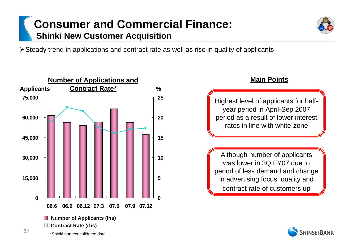# **Consumer and Commercial Finance: Shinki New Customer Acquisition**

¾Steady trend in applications and contract rate as well as rise in quality of applicants



#### **Main Points**

Highest level of applicants for halfyear period in April-Sep 2007 period as a result of lower interest rates in line with white-zone

Although number of applicants was lower in 3Q FY07 due to period of less demand and change in advertising focus, quality and contract rate of customers up

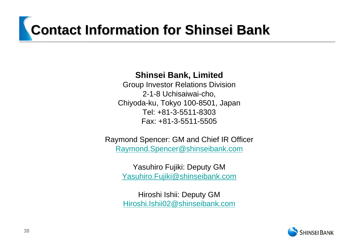# **Contact Information for Shinsei Bank Contact Information for Shinsei Bank**

#### **Shinsei Bank, Limited**

Group Investor Relations Division 2-1-8 Uchisaiwai-cho, Chiyoda-ku, Tokyo 100-8501, Japan Tel: +81-3-5511-8303 Fax: +81-3-5511-5505

Raymond Spencer: GM and Chief IR Officer [Raymond.Spencer@shinseibank.com](mailto:Raymond.Spencer@shinseibank.com)

> Yasuhiro Fujiki: Deputy GM [Yasuhiro.Fujiki@shinseibank.com](mailto:Yasuhiro.Fujiki@shinseibank.com)

Hiroshi Ishii: Deputy GM [Hiroshi.Ishii02@shinseibank.com](mailto:Hiroshi.Ishii02@shinseibank.com)